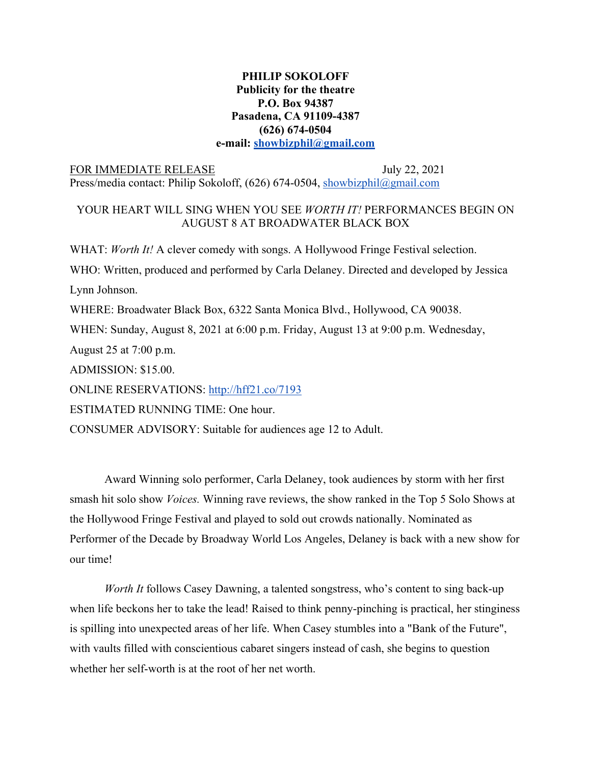## **PHILIP SOKOLOFF Publicity for the theatre P.O. Box 94387 Pasadena, CA 91109-4387 (626) 674-0504 e-mail: showbizphil@gmail.com**

## FOR IMMEDIATE RELEASE July 22, 2021 Press/media contact: Philip Sokoloff, (626) 674-0504, showbizphil@gmail.com

## YOUR HEART WILL SING WHEN YOU SEE *WORTH IT!* PERFORMANCES BEGIN ON AUGUST 8 AT BROADWATER BLACK BOX

WHAT: *Worth It!* A clever comedy with songs. A Hollywood Fringe Festival selection.

WHO: Written, produced and performed by Carla Delaney. Directed and developed by Jessica

Lynn Johnson.

WHERE: Broadwater Black Box, 6322 Santa Monica Blvd., Hollywood, CA 90038.

WHEN: Sunday, August 8, 2021 at 6:00 p.m. Friday, August 13 at 9:00 p.m. Wednesday,

August 25 at 7:00 p.m.

ADMISSION: \$15.00.

ONLINE RESERVATIONS: http://hff21.co/7193

ESTIMATED RUNNING TIME: One hour.

CONSUMER ADVISORY: Suitable for audiences age 12 to Adult.

Award Winning solo performer, Carla Delaney, took audiences by storm with her first smash hit solo show *Voices.* Winning rave reviews, the show ranked in the Top 5 Solo Shows at the Hollywood Fringe Festival and played to sold out crowds nationally. Nominated as Performer of the Decade by Broadway World Los Angeles, Delaney is back with a new show for our time!

*Worth It* follows Casey Dawning, a talented songstress, who's content to sing back-up when life beckons her to take the lead! Raised to think penny-pinching is practical, her stinginess is spilling into unexpected areas of her life. When Casey stumbles into a "Bank of the Future", with vaults filled with conscientious cabaret singers instead of cash, she begins to question whether her self-worth is at the root of her net worth.